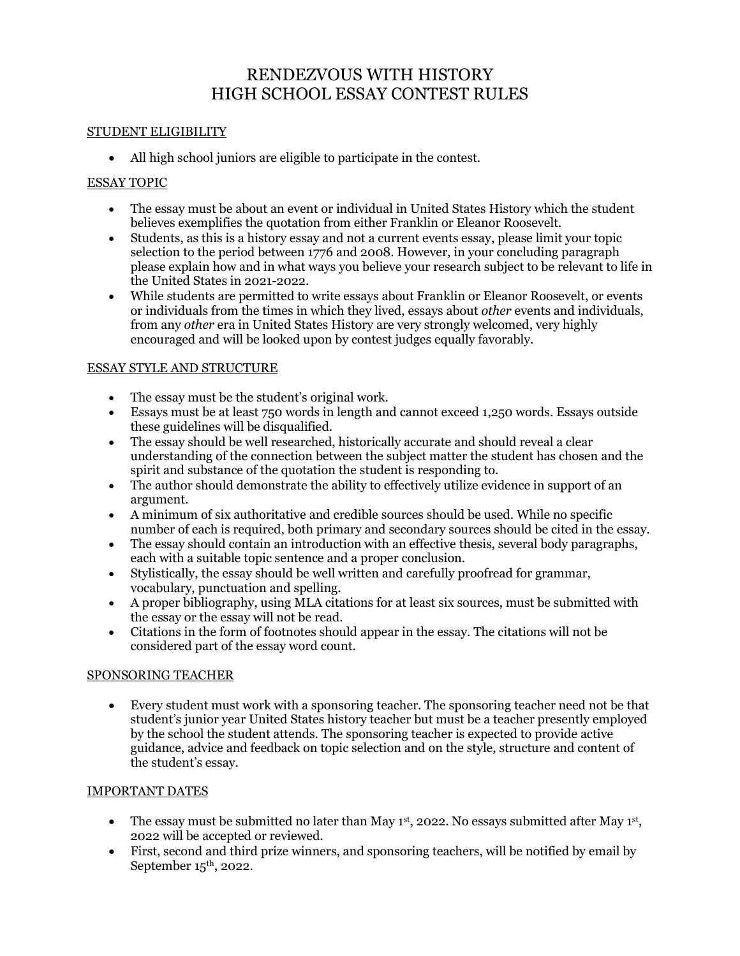# RENDEZVOUS WITH HISTORY HIGH SCHOOL ESSAY CONTEST RULES

#### STUDENT ELIGIBILITY

• All high school juniors are eligible to participate in the contest.

#### ESSAY TOPIC

- The essay must be about an event or individual in United States History which the student believes exemplifies the quotation from either Franklin or Eleanor Roosevelt.
- Students, as this is a history essay and not a current events essay, please limit your topic selection to the period between 1776 and 2008. However, in your concluding paragraph please explain how and in what ways you believe your research subject to be relevant to life in the United States in 2021-2022.
- While students are permitted to write essays about Franklin or Eleanor Roosevelt, or events or individuals from the times in which they lived, essays about *other* events and individuals, from any *other* era in United States History are very strongly welcomed, very highly encouraged and will be looked upon by contest judges equally favorably.

#### ESSAY STYLE AND STRUCTURE

- The essay must be the student's original work.
- Essays must be at least 750 words in length and cannot exceed 1,250 words. Essays outside these guidelines will be disqualified.
- The essay should be well researched, historically accurate and should reveal a clear understanding of the connection between the subject matter the student has chosen and the spirit and substance of the quotation the student is responding to.
- The author should demonstrate the ability to effectively utilize evidence in support of an argument.
- A minimum of six authoritative and credible sources should be used. While no specific number of each is required, both primary and secondary sources should be cited in the essay.
- The essay should contain an introduction with an effective thesis, several body paragraphs, each with a suitable topic sentence and a proper conclusion.
- Stylistically, the essay should be well written and carefully proofread for grammar, vocabulary, punctuation and spelling.
- A proper bibliography, using MLA citations for at least six sources, must be submitted with the essay or the essay will not be read.
- Citations in the form of footnotes should appear in the essay. The citations will not be considered part of the essay word count.

#### SPONSORING TEACHER

• Every student must work with a sponsoring teacher. The sponsoring teacher need not be that student's junior year United States history teacher but must be a teacher presently employed by the school the student attends. The sponsoring teacher is expected to provide active guidance, advice and feedback on topic selection and on the style, structure and content of the student's essay.

#### IMPORTANT DATES

- The essay must be submitted no later than May  $1<sup>st</sup>$ , 2022. No essays submitted after May  $1<sup>st</sup>$ , 2022 will be accepted or reviewed.
- First, second and third prize winners, and sponsoring teachers, will be notified by email by September  $15<sup>th</sup>$ , 2022.